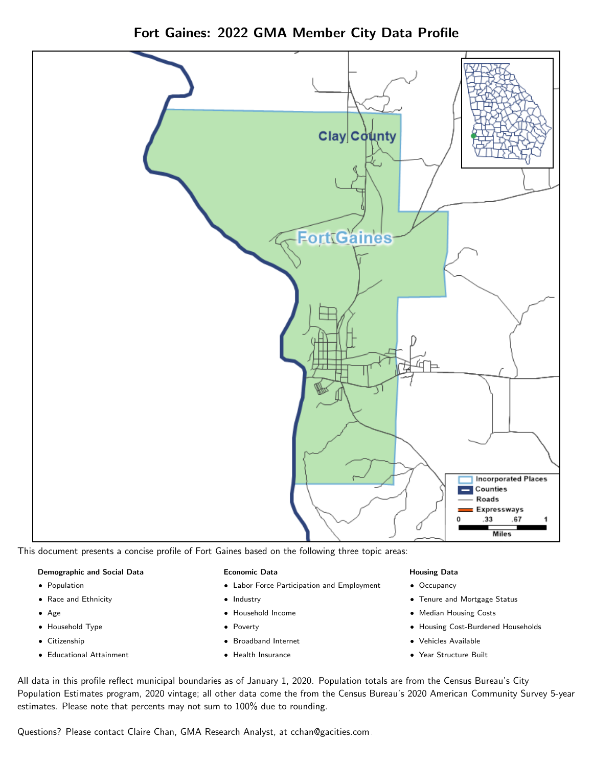



#### Demographic and Social Data

- **•** Population
- Race and Ethnicity
- Age
- Household Type
- **Citizenship**
- Educational Attainment

#### Economic Data

- Labor Force Participation and Employment
- Industry
- Household Income
- Poverty
- Broadband Internet
- Health Insurance

#### Housing Data

- Occupancy
- Tenure and Mortgage Status
- Median Housing Costs
- Housing Cost-Burdened Households
- Vehicles Available
- Year Structure Built

All data in this profile reflect municipal boundaries as of January 1, 2020. Population totals are from the Census Bureau's City Population Estimates program, 2020 vintage; all other data come the from the Census Bureau's 2020 American Community Survey 5-year estimates. Please note that percents may not sum to 100% due to rounding.

Questions? Please contact Claire Chan, GMA Research Analyst, at [cchan@gacities.com.](mailto:cchan@gacities.com)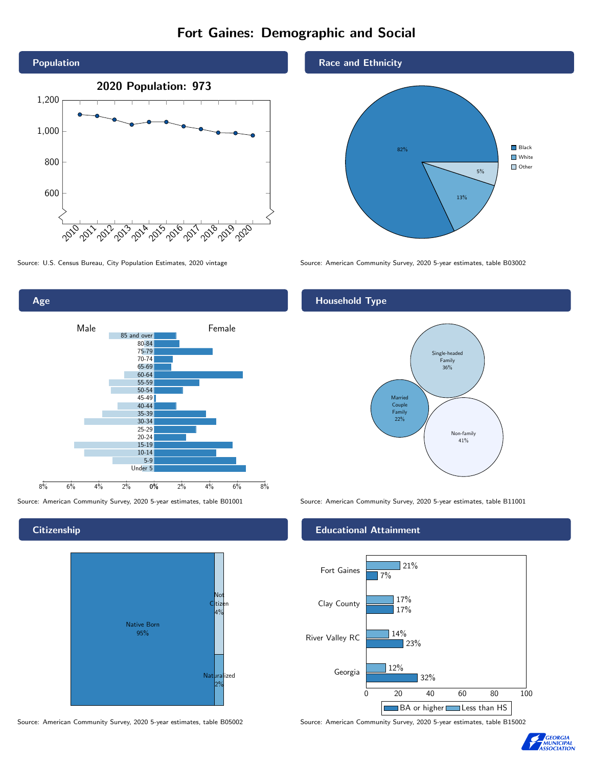# Fort Gaines: Demographic and Social









Source: American Community Survey, 2020 5-year estimates, table B05002 Source: American Community Survey, 2020 5-year estimates, table B15002





Source: U.S. Census Bureau, City Population Estimates, 2020 vintage Source: American Community Survey, 2020 5-year estimates, table B03002

## Household Type



#### Educational Attainment



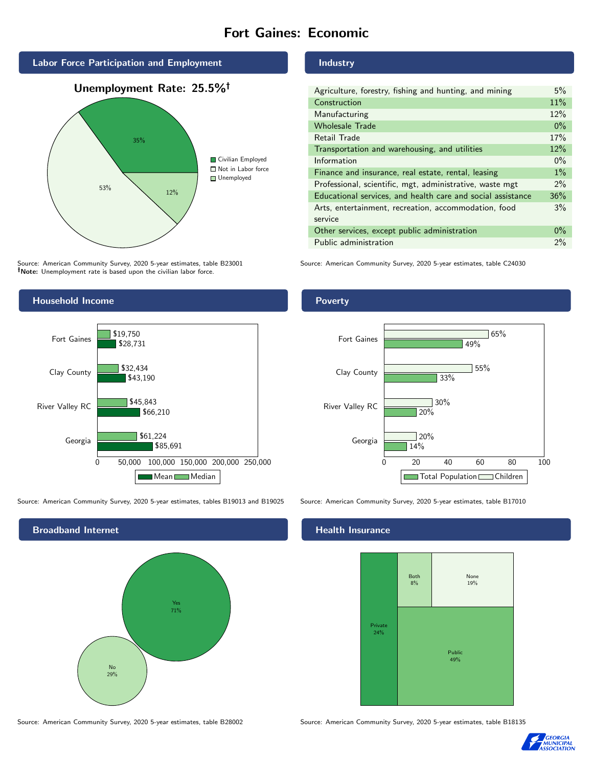# Fort Gaines: Economic



Source: American Community Survey, 2020 5-year estimates, table B23001 Note: Unemployment rate is based upon the civilian labor force.

# Industry

| Agriculture, forestry, fishing and hunting, and mining      | 5%    |
|-------------------------------------------------------------|-------|
| Construction                                                | 11%   |
| Manufacturing                                               | 12%   |
| <b>Wholesale Trade</b>                                      | $0\%$ |
| Retail Trade                                                | 17%   |
| Transportation and warehousing, and utilities               | 12%   |
| Information                                                 | $0\%$ |
| Finance and insurance, real estate, rental, leasing         | $1\%$ |
| Professional, scientific, mgt, administrative, waste mgt    | $2\%$ |
| Educational services, and health care and social assistance | 36%   |
| Arts, entertainment, recreation, accommodation, food        | 3%    |
| service                                                     |       |
| Other services, except public administration                | $0\%$ |
| Public administration                                       | 2%    |

Source: American Community Survey, 2020 5-year estimates, table C24030



Source: American Community Survey, 2020 5-year estimates, tables B19013 and B19025 Source: American Community Survey, 2020 5-year estimates, table B17010



Poverty



# **Health Insurance**



Source: American Community Survey, 2020 5-year estimates, table B28002 Source: American Community Survey, 2020 5-year estimates, table B18135